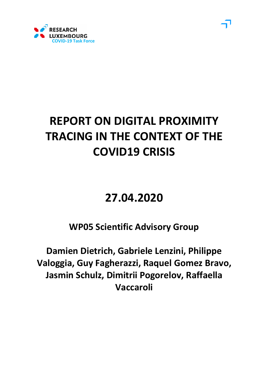

# **REPORT ON DIGITAL PROXIMITY TRACING IN THE CONTEXT OF THE COVID19 CRISIS**

# **27.04.2020**

**WP05 Scientific Advisory Group** 

**Damien Dietrich, Gabriele Lenzini, Philippe Valoggia, Guy Fagherazzi, Raquel Gomez Bravo, Jasmin Schulz, Dimitrii Pogorelov, Raffaella Vaccaroli**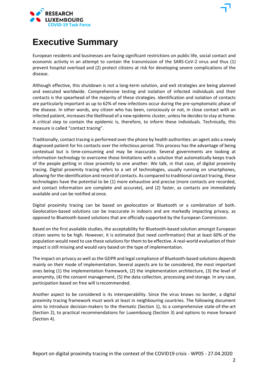

## **Executive Summary**

European residents and businesses are facing significant restrictions on public life, social contact and economic activity in an attempt to contain the transmission of the SARS-CoV-2 virus and thus (1) prevent hospital overload and (2) protect citizens at risk for developing severe complications of the disease.

Although effective, this shutdown is not a long-term solution, and exit strategies are being planned and executed worldwide. Comprehensive testing and isolation of infected individuals and their contacts is the spearhead of the majority of these strategies. Identification and isolation of contacts are particularly important as up to 62% of new infections occur during the pre-symptomatic phase of the disease. In other words, any citizen who has been, consciously or not, in close contact with an infected patient, increases the likelihood of a new epidemic cluster, unless he decides to stay at home. A critical step to contain the epidemic is, therefore, to inform these individuals. Technically, this measure is called "contact tracing".

Traditionally, contact tracing is performed over the phone by health authorities: an agent asks a newly diagnosed patient for his contacts over the infectious period. This process has the advantage of being contextual but is time-consuming and may be inaccurate. Several governments are looking at information technology to overcome those limitations with a solution that automatically keeps track of the people getting in close proximity to one another. We talk, in that case, of digital proximity tracing. Digital proximity tracing refers to a set of technologies, usually running on smartphones, allowing for the identification and record of contacts. As compared to traditional contact tracing, these technologies have the potential to be (1) more exhaustive and precise (more contacts are recorded, and contact information are complete and accurate), and (2) faster, as contacts are immediately available and can be notified at once.

Digital proximity tracing can be based on geolocation or Bluetooth or a combination of both. Geolocation-based solutions can be inaccurate in indoors and are markedly impacting privacy, as opposed to Bluetooth-based solutions that are officially supported by the European Commission.

Based on the first available studies, the acceptability for Bluetooth-based solution amongst European citizen seems to be high. However, it is estimated (but need confirmation) that at least 60% of the population would need to use these solutionsfor them to be effective. A real-world evaluation of their impact is still missing and would vary based on the type of implementation.

The impact on privacy as well asthe GDPR and legal compliance of Bluetooth-based solutions depends mainly on their mode of implementation. Several aspects are to be considered, the most important ones being (1) the implementation framework, (2) the implementation architecture, (3) the level of anonymity, (4) the consent management, (5) the data collection, processing and storage. In any case, participation based on free will isrecommended.

Another aspect to be considered is its interoperability. Since the virus knows no border, a digital proximity tracing framework must work at least in neighbouring countries. The following document aims to introduce decision-makers to the thematic (Section 1), to a comprehensive state-of-the-art (Section 2), to practical recommendations for Luxembourg (Section 3) and options to move forward (Section 4).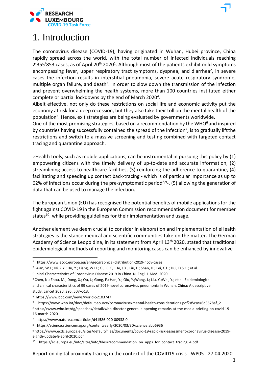

## 1. Introduction

The coronavirus disease (COVID-19), having originated in Wuhan, Hubei province, China rapidly spread across the world, with the total number of infected individuals reaching  $2'355'853$  cases, as of April  $20<sup>th</sup> 2020<sup>1</sup>$ . Although most of the patients exhibit mild symptoms encompassing fever, upper respiratory tract symptoms, dyspnea, and diarrhea<sup>2</sup>, in severe cases the infection results in interstitial pneumonia, severe acute respiratory syndrome, multiple organ failure, and death<sup>3</sup>. In order to slow down the transmission of the infection and prevent overwhelming the health systems, more than 100 countries instituted either complete or partial lockdowns by the end of March 2020<sup>4</sup>.

Albeit effective, not only do these restrictions on social life and economic activity put the economy at risk for a deep recession, but they also take their toll on the mental health of the population<sup>5</sup>. Hence, exit strategies are being evaluated by governments worldwide.

One of the most promising strategies, based on a recommendation by the WHO $^6$  and inspired by countries having successfully contained the spread of the infection<sup>7</sup>, is to gradually lift the restrictions and switch to a massive screening and testing combined with targeted contact tracing and quarantine approach.

eHealth tools, such as mobile applications, can be instrumental in pursuing this policy by (1) empowering citizens with the timely delivery of up-to-date and accurate information, (2) streamlining access to healthcare facilities, (3) reinforcing the adherence to quarantine, (4) facilitating and speeding up contact back-tracing - which is of particular importance as up to 62% of infections occur during the pre-symptomatic period<sup>8,9-</sup>, (5) allowing the generation of data that can be used to manage the infection.

The European Union (EU) has recognised the potential benefits of mobile applications for the fight against COVID-19 in the European Commission recommendation document for member states<sup>10</sup>, while providing guidelines for their implementation and usage.

Another element we deem crucial to consider in elaboration and implementation of eHealth strategies is the stance medical and scientific communities take on the matter. The German Academy of Science Leopoldina, in its statement from April 13<sup>th</sup> 2020, stated that traditional epidemiological methods of reporting and monitoring cases can be enhanced by innovative

Clinical Characteristics of Coronavirus Disease 2019 in China. N. Engl. J. Med. 2020.

6 https:/[/www.who.int/dg/speeches/detail/who-director-general-s-opening-remarks-at-the-media-briefing-on-covid-19---](http://www.who.int/dg/speeches/detail/who-director-general-s-opening-remarks-at-the-media-briefing-on-covid-19---) 16-march-2020

<sup>1</sup> https:/[/www.ecdc.europa.eu/en/geographical-distribution-2019-ncov-cases](http://www.ecdc.europa.eu/en/geographical-distribution-2019-ncov-cases)

<sup>2</sup> Guan, W.J.; Ni, Z.Y.; Hu, Y.; Liang, W.H.; Ou, C.Q.; He, J.X.; Liu, L.; Shan, H.; Lei, C.L.; Hui, D.S.C.; et al.

<sup>3</sup> Chen, N.; Zhou, M.; Dong, X.; Qu, J.; Gong, F.; Han, Y.; Qiu, Y.;Wang, J.; Liu, Y.;Wei, Y.; et al. Epidemiological and clinical characteristics of 99 cases of 2019 novel coronavirus pneumonia in Wuhan, China: A descriptive study. Lancet 2020, 395, 507–513.

<sup>4</sup> https:/[/www.bbc.com/news/world-52103747](http://www.bbc.com/news/world-52103747)

<sup>5</sup> https:/[/www.who.int/docs/default-source/coronaviruse/mental-health-considerations.pdf?sfvrsn=6d3578af\\_2](http://www.who.int/docs/default-source/coronaviruse/mental-health-considerations.pdf?sfvrsn=6d3578af_2)

<sup>7</sup> https:/[/www.nature.com/articles/d41586-020-00938-0](http://www.nature.com/articles/d41586-020-00938-0)

<sup>8</sup> https://science.sciencemag.org/content/early/2020/03/30/science.abb6936

<sup>9</sup> https:/[/www.ecdc.europa.eu/sites/default/files/documents/covid-19-rapid-risk-assessment-coronavirus-disease-2019](http://www.ecdc.europa.eu/sites/default/files/documents/covid-19-rapid-risk-assessment-coronavirus-disease-2019-) eighth-update-8-april-2020.pdf

<sup>10</sup> https://ec.europa.eu/info/sites/info/files/recommendation\_on\_apps\_for\_contact\_tracing\_4.pdf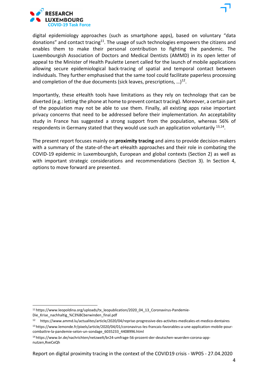

digital epidemiology approaches (such as smartphone apps), based on voluntary "data donations" and contact tracing<sup>11</sup>. The usage of such technologies empowers the citizens and enables them to make their personal contribution to fighting the pandemic. The Luxembourgish Association of Doctors and Medical Dentists (AMMD) in its open letter of appeal to the Minister of Health Paulette Lenert called for the launch of mobile applications allowing secure epidemiological back-tracing of spatial and temporal contact between individuals. They further emphasised that the same tool could facilitate paperless processing and completion of the due documents (sick leaves, prescriptions, ...)<sup>12</sup>.

Importantly, these eHealth tools have limitations as they rely on technology that can be diverted (e.g.: letting the phone at home to prevent contact tracing). Moreover, a certain part of the population may not be able to use them. Finally, all existing apps raise important privacy concerns that need to be addressed before their implementation. An acceptability study in France has suggested a strong support from the population, whereas 56% of respondents in Germany stated that they would use such an application voluntarily  $13,14$ .

The present report focuses mainly on **proximity tracing** and aims to provide decision-makers with a summary of the state-of-the-art eHealth approaches and their role in combating the COVID-19 epidemic in Luxembourgish, European and global contexts (Section 2) as well as with important strategic considerations and recommendations (Section 3). In Section 4, options to move forward are presented.

<sup>&</sup>lt;sup>11</sup> https:/[/www.leopoldina.org/uploads/tx\\_leopublication/2020\\_04\\_13\\_Coronavirus-Pandemie-](http://www.leopoldina.org/uploads/tx_leopublication/2020_04_13_Coronavirus-Pandemie-)Die\_Krise\_nachhaltig\_%C3%BCberwinden\_final.pdf

<sup>12</sup> https:/[/www.ammd.lu/actualites/article/2020/04/reprise-progressive-des-activites-medicales-et-medico-dentaires](http://www.ammd.lu/actualites/article/2020/04/reprise-progressive-des-activites-medicales-et-medico-dentaires) 13 https:/[/www.lemonde.fr/pixels/article/2020/04/01/coronavirus-les-francais-favorables-a-une-application-mobile-pour](http://www.lemonde.fr/pixels/article/2020/04/01/coronavirus-les-francais-favorables-a-une-application-mobile-pour-)combattre-la-pandemie-selon-un-sondage\_6035233\_4408996.html

<sup>14</sup> https:/[/www.br.de/nachrichten/netzwelt/br24-umfrage-56-prozent-der-deutschen-wuerden-corona-app](http://www.br.de/nachrichten/netzwelt/br24-umfrage-56-prozent-der-deutschen-wuerden-corona-app-)nutzen,RveCeQh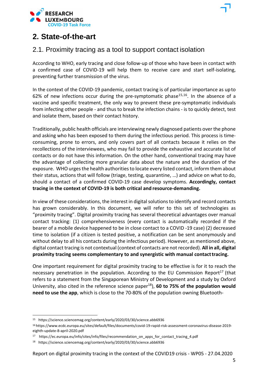

### **2. State-of-the-art**

### 2.1. Proximity tracing as a tool to support contact isolation

According to WHO, early tracing and close follow-up of those who have been in contact with a confirmed case of COVID-19 will help them to receive care and start self-isolating, preventing further transmission of the virus.

In the context of the COVID-19 pandemic, contact tracing is of particular importance as upto 62% of new infections occur during the pre-symptomatic phase<sup>15,16</sup>. In the absence of a vaccine and specific treatment, the only way to prevent these pre-symptomatic individuals from infecting other people - and thus to break the infection chains - is to quickly detect, test and isolate them, based on their contact history.

Traditionally, public health officials are interviewing newly diagnosed patients over the phone and asking who has been exposed to them during the infectious period. This process is timeconsuming, prone to errors, and only covers part of all contacts because it relies on the recollections of the interviewees, who may fail to provide the exhaustive and accurate list of contacts or do not have this information. On the other hand, conventional tracing may have the advantage of collecting more granular data about the nature and the duration of the exposure. WHO urges the health authorities to locate every listed contact, inform them about their status, actions that will follow (triage, testing, quarantine, …) and advice on what to do, should a contact of a confirmed COVID-19 case develop symptoms. **Accordingly, contact tracing in the context of COVID-19 is both critical and resource-demanding.**

In view of these considerations, the interest in digital solutions to identify and record contacts has grown considerably. In this document, we will refer to this set of technologies as "proximity tracing". Digital proximity tracing has several theoretical advantages over manual contact tracking: (1) comprehensiveness (every contact is automatically recorded if the bearer of a mobile device happened to be in close contact to a COVID -19 case) (2) decreased time to isolation (if a citizen is tested positive, a notification can be sent anonymously and without delay to all his contacts during the infectious period). However, as mentioned above, digital contact tracing is not contextual (context of contacts are notrecorded). **All in all, digital proximity tracing seems complementary to and synergistic with manual contacttracing.**

One important requirement for digital proximity tracing to be effective is for it to reach the necessary penetration in the population. According to the EU Commission Report<sup>17</sup> (that refers to a statement from the Singaporean Ministry of Development and a study by Oxford University, also cited in the reference science paper<sup>18</sup>), **60 to 75% of the population would need to use the app**, which is close to the 70-80% of the population owning Bluetooth-

<sup>15</sup> https://science.sciencemag.org/content/early/2020/03/30/science.abb6936

<sup>16</sup> https:/[/www.ecdc.europa.eu/sites/default/files/documents/covid-19-rapid-risk-assessment-coronavirus-disease-2019](http://www.ecdc.europa.eu/sites/default/files/documents/covid-19-rapid-risk-assessment-coronavirus-disease-2019-) eighth-update-8-april-2020.pdf

<sup>17</sup> https://ec.europa.eu/info/sites/info/files/recommendation\_on\_apps\_for\_contact\_tracing\_4.pdf

<sup>18</sup> https://science.sciencemag.org/content/early/2020/03/30/science.abb6936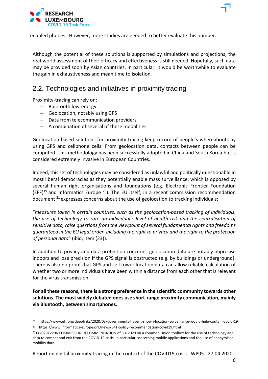

enabled phones. However, more studies are needed to better evaluate this number.

Although the potential of these solutions is supported by simulations and projections, the real-world assessment of their efficacy and effectiveness is still needed. Hopefully, such data may be provided soon by Asian countries. In particular, it would be worthwhile to evaluate the gain in exhaustiveness and mean time to isolation.

### 2.2. Technologies and initiatives in proximity tracing

Proximity-tracing can rely on:

- Bluetooth low-energy
- Geolocation, notably using GPS
- Data from telecommunication providers
- A combination of several of these modalities

Geolocation-based solutions for proximity tracing keep record of people's whereabouts by using GPS and cellphone cells. From geolocation data, contacts between people can be computed. This methodology has been successfully adopted in China and South Korea but is considered extremely invasive in European Countries.

Indeed, this set of technologies may be considered as unlawful and politically questionable in most liberal democracies as they potentially enable mass surveillance, which is opposed by several human right organisations and foundations (e.g. Electronic Frontier Foundation  $(EFF)^{19}$  and Informatics Europe <sup>20</sup>). The EU itself, in a recent commission recommendation document 21 expresses concerns about the use of geolocation to tracking individuals:

"*measures taken in certain countries, such as the geolocation-based tracking of individuals, the use of technology to rate an individual's level of health risk and the centralisation of sensitive data, raise questions from the viewpoint of several fundamental rights and freedoms guaranteed in the EU legal order, including the right to privacy and the right to the protection of personal data*" (ibid, item (23)).

In addition to privacy and data protection concerns, geolocation data are notably imprecise indoors and lose precision if the GPS signal is obstructed (e.g. by buildings or underground). There is also no proof that GPS and cell tower location data can allow reliable calculation of whether two or more individuals have been within a distance from each other that isrelevant for the virus transmission.

**For all these reasons, there is a strong preference in the scientific community towards other solutions. The most widely debated ones use short-range proximity communication, mainly via Bluetooth, between smartphones.**

<sup>19</sup> https:/[/www.eff.org/deeplinks/2020/03/governments-havent-shown-location-surveillance-would-help-contain-covid-19](http://www.eff.org/deeplinks/2020/03/governments-havent-shown-location-surveillance-would-help-contain-covid-19)

<sup>20</sup> https:/[/www.informatics-europe.org/news/541-policy-recommendation-covid19.html](http://www.informatics-europe.org/news/541-policy-recommendation-covid19.html)

<sup>&</sup>lt;sup>21</sup> C(2020) 2296 COMMISSION RECOMMENDATION of 8.4.2020 on a common Union toolbox for the use of technology and data to combat and exit from the COVID-19 crisis, in particular concerning mobile applications and the use of anonymised mobility data.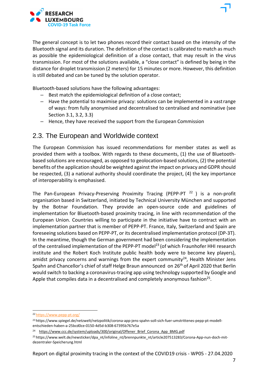

The general concept is to let two phones record their contact based on the intensity of the Bluetooth signal and its duration. The definition of the contact is calibrated to match as much as possible the epidemiological definition of a close contact, that may result in the virus transmission. For most of the solutions available, a "close contact" is defined by being in the distance for droplet transmission (2 meters) for 15 minutes or more. However, this definition is still debated and can be tuned by the solution operator.

Bluetooth-based solutions have the following advantages:

- Best match the epidemiological definition of a close contact;
- Have the potential to maximise privacy: solutions can be implemented in a vastrange of ways: from fully anonymised and decentralised to centralised and nominative (see Section 3.1, 3.2, 3.3)
- Hence, they have received the support from the European Commission

### 2.3. The European and Worldwide context

The European Commission has issued recommendations for member states as well as provided them with a toolbox. With regards to these documents, (1) the use of Bluetoothbased solutions are encouraged, as opposed to geolocation-based solutions, (2) the potential benefits of the application should be weighted against the impact on privacy and GDPR should be respected, (3) a national authority should coordinate the project, (4) the key importance of interoperability is emphasised.

The Pan-European Privacy-Preserving Proximity Tracing (PEPP-PT  $^{22}$ ) is a non-profit organisation based in Switzerland, initiated by Technical University München and supported by the Botnar Foundation. They provide an open-source code and guidelines of implementation for Bluetooth-based proximity tracing, in line with recommendation of the European Union. Countries willing to participate in the initiative have to contract with an implementation partner that is member of PEPP-PT. France, Italy, Switzerland and Spain are foreseeing solutions based on PEPP-PT, or its decentralised implementation protocol (DP-3T). In the meantime, though the German government had been considering the implementation of the centralised implementation of the PEPP-PT model<sup>23</sup> (of which Fraunhofer HHI research institute and the Robert Koch Institute public health body were to become key players), amidst privacy concerns and warnings from the expert community<sup>24</sup>, Health Minister Jens Spahn and Chancellor's chief of staff Helge Braun announced on 26<sup>th</sup> of April 2020 that Berlin would switch to backing a coronavirus-tracing app using technology supported by Google and Apple that compiles data in a decentralised and completely anonymous fashion<sup>25</sup>.

<sup>22</sup> https:/[/www.pepp-pt.org/](http://www.pepp-pt.org/)

<sup>23</sup> https:/[/www.spiegel.de/netzwelt/netzpolitik/corona-app-jens-spahn-soll-sich-fuer-umstrittenes-pepp-pt-modell](http://www.spiegel.de/netzwelt/netzpolitik/corona-app-jens-spahn-soll-sich-fuer-umstrittenes-pepp-pt-modell-)entschieden-haben-a-25bcd0ce-0150-4d5d-b308-67395b767e5a

<sup>&</sup>lt;sup>24</sup> https:/[/www.ccc.de/system/uploads/300/original/Offener\\_Brief\\_Corona\\_App\\_BMG.pdf](http://www.ccc.de/system/uploads/300/original/Offener_Brief_Corona_App_BMG.pdf)

<sup>&</sup>lt;sup>25</sup> https:/[/www.welt.de/newsticker/dpa\\_nt/infoline\\_nt/brennpunkte\\_nt/article207513283/Corona-App-nun-doch-mit](http://www.welt.de/newsticker/dpa_nt/infoline_nt/brennpunkte_nt/article207513283/Corona-App-nun-doch-mit-)dezentraler-Speicherung.html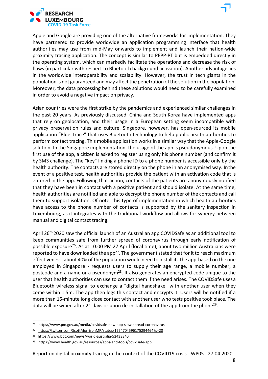

Apple and Google are providing one of the alternative frameworks for implementation. They have partnered to provide worldwide an application programming interface that health authorities may use from mid-May onwards to implement and launch their nation-wide proximity tracing application. The concept is similar to PEPP-PT but is embedded directly in the operating system, which can markedly facilitate the operations and decrease the risk of flaws (in particular with respect to Bluetooth background activation). Another advantage lies in the worldwide interoperability and scalability. However, the trust in tech giants in the population is not guaranteed and may affect the penetration of the solution in the population. Moreover, the data processing behind these solutions would need to be carefully examined in order to avoid a negative impact on privacy.

Asian countries were the first strike by the pandemics and experienced similar challenges in the past 20 years. As previously discussed, China and South Korea have implemented apps that rely on geolocation, and their usage in a European setting seem incompatible with privacy preservation rules and culture. Singapore, however, has open-sourced its mobile application "Blue-Trace" that uses Bluetooth technology to help public health authorities to perform contact tracing. This mobile application works in a similar way that the Apple-Google solution. In the Singapore implementation, the usage of the app is pseudonymous. Upon the first use of the app, a citizen is asked to register using only his phone number (and confirm it by SMS challenge). The "key" linking a phone ID to a phone number is accessible only by the health authority. The contacts are stored directly on the phone in an anonymised way. Inthe event of a positive test, health authorities provide the patient with an activation code that is entered in the app. Following that action, contacts of the patients are anonymously notified that they have been in contact with a positive patient and should isolate. At the same time, health authorities are notified and able to decrypt the phone number of the contacts and call them to support isolation. Of note, this type of implementation in which health authorities have access to the phone number of contacts is supported by the sanitary inspection in Luxembourg, as it integrates with the traditional workflow and allows for synergy between manual and digital contact tracing.

April 26th 2020 saw the official launch of an Australian app COVIDSafe as an additional tool to keep communities safe from further spread of coronavirus through early notification of possible exposure<sup>26</sup>. As at 10:00 PM 27 April (local time), about two million Australians were reported to have downloaded the app<sup>27</sup>. The government stated that for it to reach maximum effectiveness, about 40% of the population would need to install it. The app-based on the one employed in Singapore - requests users to supply their age range, a mobile number, a postcode and a name or a pseudonym<sup>28</sup>. It also generates an encrypted code unique to the user that health authorities can use to contact them if the need arises. The COVIDSafe usesa Bluetooth wireless signal to exchange a "digital handshake" with another user when they come within 1.5m. The app then logs this contact and encrypts it. Users will be notified if a more than 15-minute long close contact with another user who tests positive took place. The data will be wiped after 21 days or upon de-installation of the app from the phone<sup>29</sup>.

<sup>26</sup> https:/[/www.pm.gov.au/media/covidsafe-new-app-slow-spread-coronavirus](http://www.pm.gov.au/media/covidsafe-new-app-slow-spread-coronavirus)

<sup>27</sup> https://twitter.com/ScottMorrisonMP/status/1254704596175294464?s=20

<sup>28</sup> https:/[/www.bbc.com/news/world-australia-52433340](http://www.bbc.com/news/world-australia-52433340)

<sup>29</sup> https:/[/www.health.gov.au/resources/apps-and-tools/covidsafe-app](http://www.health.gov.au/resources/apps-and-tools/covidsafe-app)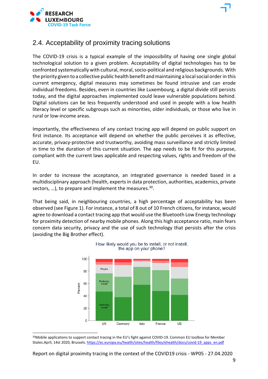

### 2.4. Acceptability of proximity tracing solutions

The COVID-19 crisis is a typical example of the impossibility of having one single global technological solution to a given problem. Acceptability of digital technologies has to be confronted systematically with cultural, moral, socio-political and religious backgrounds. With the priority given to a collective public health benefit andmaintaining a localsocial order in this current emergency, digital measures may sometimes be found intrusive and can erode individual freedoms. Besides, even in countries like Luxembourg, a digital divide still persists today, and the digital approaches implemented could leave vulnerable populations behind. Digital solutions can be less frequently understood and used in people with a low health literacy level or specific subgroups such as minorities, older individuals, or those who live in rural or low-income areas.

Importantly, the effectiveness of any contact tracing app will depend on public support on first instance. Its acceptance will depend on whether the public perceives it as effective, accurate, privacy-protective and trustworthy, avoiding mass surveillance and strictly limited in time to the duration of this current situation. The app needs to be fit for this purpose, compliant with the current laws applicable and respecting values, rights and freedom of the EU.

In order to increase the acceptance, an integrated governance is needed based in a multidisciplinary approach (health, expertsin data protection, authorities, academics, private sectors, ...), to prepare and implement the measures. $30$ .

That being said, in neighbouring countries, a high percentage of acceptability has been observed (see Figure 1). For instance, a total of 8 out of 10 French citizens, for instance, would agree to download a contact tracing app that would use the Bluetooth Low Energy technology for proximity detection of nearby mobile phones. Along this high acceptance ratio, main fears concern data security, privacy and the use of such technology that persists after the crisis (avoiding the Big Brother effect).



<sup>30</sup>Mobile applications to support contact tracing in the EU's fight against COVID-19. Common EU toolbox for Member States.April, 14st 2020, Brussels. https://ec.europa.eu/health/sites/health/files/ehealth/docs/covid-19\_apps\_en.pdf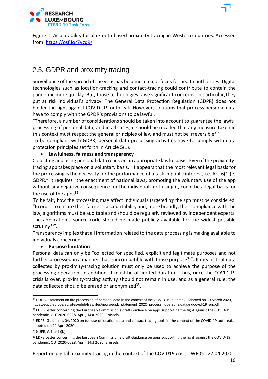

### 2.5. GDPR and proximity tracing

Surveillance of the spread of the virus has become a major focusfor health authorities. Digital technologies such as location-tracking and contact-tracing could contribute to contain the pandemic more quickly. But, those technologies raise significant concerns. In particular,they put at risk individual's privacy. The General Data Protection Regulation (GDPR) does not hinder the fight against COVID -19 outbreak. However, solutions that process personal data have to comply with the GPDR's provisions to be lawful.

"Therefore, a number of considerations should be taken into account to guarantee the lawful processing of personal data, and in all cases, it should be recalled that any measure taken in this context must respect the general principles of law and must not be irreversible  $31^{\circ}$ .

To be compliant with GDPR, personal data processing activities have to comply with data protection principles set forth in Article 5(1).

#### • **Lawfulness, fairness and transparency**

Collecting and using personal data relies on an appropriate lawful basis. Even if the proximitytracing app takes place on a voluntary basis, "it appears that the most relevant legal basis for the processing is the necessity for the performance of a task in public interest, i.e. Art.6(1)(e) GDPR." It requires "the enactment of national laws, promoting the voluntary use of the app without any negative consequence for the individuals not using it, could be a legal basis for the use of the apps $32.$ "

To be fair, how the processing may affect individuals targeted by the app must be considered. "In order to ensure their fairness, accountability and, more broadly, their compliance with the law, algorithms must be auditable and should be regularly reviewed by independent experts. The application's source code should be made publicly available for the widest possible scrutiny<sup>33"</sup>.

Transparency impliesthat all information related to the data processing is making available to individuals concerned.

#### • **Purpose limitation**

Personal data can only be "collected for specified, explicit and legitimate purposes and not further processed in a manner that is incompatible with those purpose<sup>34"</sup>. It means that data collected by proximity-tracing solution must only be used to achieve the purpose of the processing operation. In addition, it must be of limited duration. Thus, once the COVID-19 crisis is over, proximity-tracing activity should not remain in use, and as a general rule, the data collected should be erased or anonymized<sup>35</sup>.

<sup>&</sup>lt;sup>31</sup> EDPB, Statement on the processing of personal data in the context of the COVID-19 outbreak. Adopted on 19 March 2020, https://edpb.europa.eu/sites/edpb/files/files/news/edpb\_statement\_2020\_processingpersonaldataandcovid-19\_en.pdf <sup>32</sup> EDPB Letter concerning the European Commission's draft Guidance on apps supporting the fight against the COVID-19 pandemic, OUT2020-0028, April, 14st 2020, Brussels

<sup>33</sup> EDPB, Guidelines 04/2020 on tue use of location data and contact tracing tools in the context of the COVID-19 outbreak, adopted on 21 April 2020.

<sup>34</sup> GDPR, Art. 5(1)(b)

<sup>&</sup>lt;sup>35</sup> EDPB Letter concerning the European Commission's draft Guidance on apps supporting the fight against the COVID-19 pandemic, OUT2020-0028, April, 14st 2020, Brussels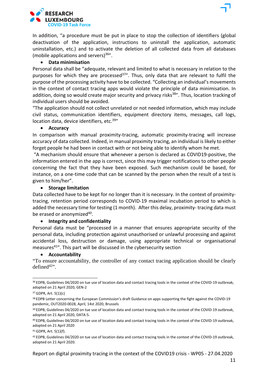

In addition, "a procedure must be put in place to stop the collection of identifiers (global deactivation of the application, instructions to uninstall the application, automatic uninstallation, etc.) and to activate the deletion of all collected data from all databases (mobile applications and servers) $36"$ .

#### • **Data minimisation**

Personal data shall be "adequate, relevant and limited to what is necessary in relation to the purposes for which they are processed<sup>37"</sup>. Thus, only data that are relevant to fulfil the purpose of the processing activity have to be collected. "Collecting an individual's movements in the context of contact tracing apps would violate the principle of data minimisation. In addition, doing so would create major security and privacy risks<sup>38"</sup>. Thus, location tracking of individual users should be avoided.

"The application should not collect unrelated or not needed information, which may include civil status, communication identifiers, equipment directory items, messages, call logs, location data, device identifiers, etc.<sup>39"</sup>

#### • **Accuracy**

In comparison with manual proximity-tracing, automatic proximity-tracing will increase accuracy of data collected. Indeed, in manual proximity tracing, an individual islikely to either forget people he had been in contact with or not being able to identify whom he met.

"A mechanism should ensure that whenever a person is declared as COVID19-positive, the information entered in the app is correct, since this may trigger notifications to other people concerning the fact that they have been exposed. Such mechanism could be based, for instance, on a one-time code that can be scanned by the person when the result of a test is given to him/her".

#### • **Storage limitation**

Data collected have to be kept for no longer than it is necessary. In the context of proximitytracing, retention period corresponds to COVID-19 maximal incubation period to which is added the necessary time for testing (1 month). After this delay, proximity- tracing data must be erased or anonymized<sup>40</sup>.

#### • **Integrity and confidentiality**

Personal data must be "processed in a manner that ensures appropriate security of the personal data, including protection against unauthorised or unlawful processing and against accidental loss, destruction or damage, using appropriate technical or organisational measures41". This part will be discussed in the cybersecurity section

#### • **Accountability**

"To ensure accountability, the controller of any contact tracing application should be clearly  $defined<sup>42</sup>$ .

41 GDPR, Art. 5(1)(f).

<sup>&</sup>lt;sup>36</sup> EDPB, Guidelines 04/2020 on tue use of location data and contact tracing tools in the context of the COVID-19 outbreak, adopted on 21 April 2020, GEN-2

<sup>37</sup> GDPR, Art. 5(1)(c)

<sup>&</sup>lt;sup>38</sup> EDPB Letter concerning the European Commission's draft Guidance on apps supporting the fight against the COVID-19 pandemic, OUT2020-0028, April, 14st 2020, Brussels

<sup>39</sup> EDPB, Guidelines 04/2020 on tue use of location data and contact tracing tools in the context of the COVID-19 outbreak, adopted on 21 April 2020, DATA-5.

<sup>40</sup> EDPB, Guidelines 04/2020 on tue use of location data and contact tracing tools in the context of the COVID-19 outbreak, adopted on 21 April 2020

<sup>42</sup> EDPB, Guidelines 04/2020 on tue use of location data and contact tracing tools in the context of the COVID-19 outbreak, adopted on 21 April 2020.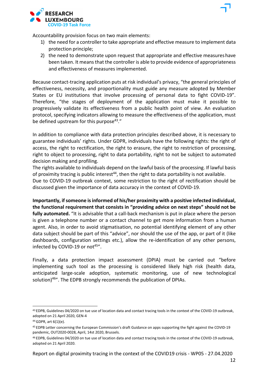Accountability provision focus on two main elements:

- 1) the need for a controller to take appropriate and effective measure to implement data protection principle;
- 2) the need to demonstrate upon request that appropriate and effective measureshave been taken. It means that the controller is able to provide evidence of appropriateness and effectiveness of measures implemented.

Because contact-tracing application puts at risk individual's privacy, "the general principles of effectiveness, necessity, and proportionality must guide any measure adopted by Member States or EU institutions that involve processing of personal data to fight COVID-19". Therefore, "the stages of deployment of the application must make it possible to progressively validate its effectiveness from a public health point of view. An evaluation protocol, specifying indicators allowing to measure the effectiveness of the application, must be defined upstream for this purpose  $43.$ "

In addition to compliance with data protection principles described above, it is necessary to guarantee individuals' rights. Under GDPR, individuals have the following rights: the right of access, the right to rectification, the right to erasure, the right to restriction of processing, right to object to processing, right to data portability, right to not be subject to automated decision making and profiling.

The rights available to individuals depend on the lawful basis of the processing. If lawful basis of proximity tracing is public interest<sup>44</sup>, then the right to data portability is not available. Due to COVID-19 outbreak context, some restriction to the right of rectification should be discussed given the importance of data accuracy in the context of COVID-19.

**Importantly, ifsomeone isinformed of his/her proximity with a positive infected individual, the functional requirement that consists in "providing advice on next steps" should not be fully automated.** "It is advisable that a call-back mechanism is put in place where the person is given a telephone number or a contact channel to get more information from a human agent. Also, in order to avoid stigmatisation, no potential identifying element of any other data subject should be part of this "advice", nor should the use of the app, or part of it (like dashboards, configuration settings etc.), allow the re-identification of any other persons, infected by COVID-19 or not<sup>45"</sup>.

Finally, a data protection impact assessment (DPIA) must be carried out "before implementing such tool as the processing is considered likely high risk (health data, anticipated large-scale adoption, systematic monitoring, use of new technological solution)<sup>46"</sup>. The EDPB strongly recommends the publication of DPIAs.

<sup>43</sup> EDPB, Guidelines 04/2020 on tue use of location data and contact tracing tools in the context of the COVID-19 outbreak, adopted on 21 April 2020, GEN-4

<sup>44</sup> GDPR, art 6(1)(e).

<sup>45</sup> EDPB Letter concerning the European Commission's draft Guidance on apps supporting the fight against the COVID-19 pandemic, OUT2020-0028, April, 14st 2020, Brussels.

adopted on 21 April 2020. 46 EDPB, Guidelines 04/2020 on tue use of location data and contact tracing tools in the context of the COVID-19 outbreak,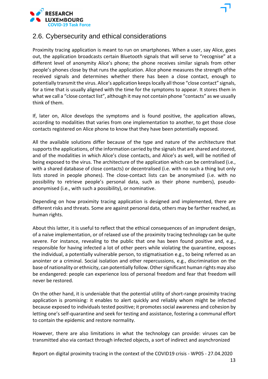

### 2.6. Cybersecurity and ethical considerations

Proximity tracing application is meant to run on smartphones. When a user, say Alice, goes out, the application broadcasts certain Bluetooth signals that will serve to "recognise" at a different level of anonymity Alice's phone; the phone receives similar signals from other people's phones close by that runs the application. Alice phone measures the strength ofthe received signals and determines whether there has been a close contact, enough to potentially transmit the virus. Alice's application keepslocally all those "close contact" signals, for a time that is usually aligned with the time for the symptoms to appear. It stores them in what we call a "close contact list", although it may not contain phone "contacts" as we usually think of them.

If, later on, Alice develops the symptoms and is found positive, the application allows, according to modalities that varies from one implementation to another, to get those close contacts registered on Alice phone to know that they have been potentially exposed.

All the available solutions differ because of the type and nature of the architecture that supports the applications, of the information carried by the signals that are shared and stored, and of the modalities in which Alice's close contacts, and Alice's as well, will be notified of being exposed to the virus. The architecture of the application which can be centralised (i.e., with a shared database of close contacts) or decentralised (i.e. with no such a thing but only lists stored in people phones). The close-contact lists can be anonymised (i.e. with no possibility to retrieve people's personal data, such as their phone numbers), pseudoanonymised (i.e., with such a possibility), or nominative.

Depending on how proximity tracing application is designed and implemented, there are different risks and threats. Some are against personal data, others may be farther reached, as human rights.

About this latter, it is useful to reflect that the ethical consequences of an imprudent design, of a naive implementation, or of relaxed use of the proximity tracing technology can be quite severe. For instance, revealing to the public that one has been found positive and, e.g., responsible for having infected a lot of other peers while violating the quarantine, exposes the individual, a potentially vulnerable person, to stigmatisation e.g., to being referred as an anointer or a criminal. Social isolation and other repercussions, e.g., discrimination on the base of nationality or ethnicity, can potentially follow. Other significant human rights may also be endangered: people can experience loss of personal freedom and fear that freedom will never be restored.

On the other hand, it is undeniable that the potential utility of short-range proximity tracing application is promising: it enables to alert quickly and reliably whom might be infected because exposed to individuals tested positive; it promotes social awareness and cohesion by letting one's self-quarantine and seek for testing and assistance, fostering a communal effort to contain the epidemic and restore normality.

However, there are also limitations in what the technology can provide: viruses can be transmitted also via contact through infected objects, a sort of indirect and asynchronized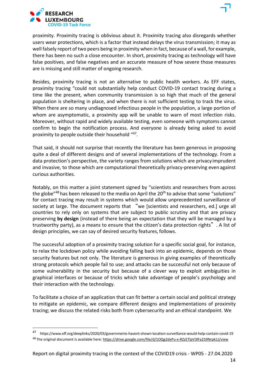

proximity. Proximity tracing is oblivious about it. Proximity tracing also disregards whether users wear protections, which is a factor that instead delays the virus transmission; it may as well falsely report of two peers being in proximity when in fact, because of a wall, for example, there has been no such a close encounter. In short, proximity tracing as technology will have false positives, and false negatives and an accurate measure of how severe those measures are is missing and still matter of ongoing research.

Besides, proximity tracing is not an alternative to public health workers. As EFF states, proximity tracing "could not substantially help conduct COVID-19 contact tracing during a time like the present, when community transmission is so high that much of the general population is sheltering in place, and when there is not sufficient testing to track the virus. When there are so many undiagnosed infectious people in the population, a large portion of whom are asymptomatic, a proximity app will be unable to warn of most infection risks. Moreover, without rapid and widely available testing, even someone with symptoms cannot confirm to begin the notification process. And everyone is already being asked to avoid proximity to people outside their household "47.

That said, it should not surprise that recently the literature has been generous in proposing quite a deal of different designs and of several implementations of the technology. From a data protection's perspective, the variety ranges from solutions which are privacy imprudent and invasive, to those which are computational theoretically privacy-preserving even against curious authorities.

Notably, on this matter a joint statement signed by "scientists and researchers from across the globe"<sup>48</sup> has been released to the media on April the 20<sup>th</sup> to advise that some "solutions" for contact tracing may result in systems which would allow unprecedented surveillance of society at large. The document reports that "we [scientists and researchers, ed.] urge all countries to rely only on systems that are subject to public scrutiny and that are privacy preserving **by design** (instead of there being an expectation that they will be managed by a trustworthy party), as a means to ensure that the citizen's data protection rights". A list of design principles, we can say of desired security features, follows.

The successful adoption of a proximity tracing solution for a specific social goal, for instance, to relax the lockdown policy while avoiding falling back into an epidemic, depends on those security features but not only. The literature is generous in giving examples of theoretically strong protocols which people fail to use; and attacks can be successful not only because of some vulnerability in the security but because of a clever way to exploit ambiguities in graphical interfaces or because of tricks which take advantage of people's psychology and their interaction with the technology.

To facilitate a choice of an application that can fit better a certain social and political strategy to mitigate an epidemic, we compare different designs and implementations of proximity tracing; we discuss the related risks both from cybersecurity and an ethical standpoint. We

<sup>47</sup> https:/[/www.eff.org/deeplinks/2020/03/governments-havent-shown-location-surveillance-would-help-contain-covid-19](http://www.eff.org/deeplinks/2020/03/governments-havent-shown-location-surveillance-would-help-contain-covid-19) 48 The original document is available here: https://drive.google.com/file/d/1OQg2dxPu-x-RZzETlpV3lFa259Nrpk1J/view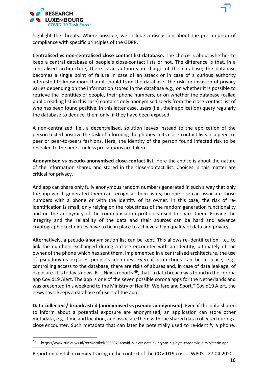

highlight the threats. Where possible, we include a discussion about the presumption of compliance with specific principles of the GDPR.

**Centralised vs non-centralised close contact list database.** The choice is about whether to keep a central database of people's close-contact lists or not. The difference is that, in a centralised architecture, there is an authority in charge of the database; the database becomes a single point of failure in case of an attack or in case of a curious authority interested to know more than it should from the database. The risk for invasion of privacy varies depending on the information stored in the database e.g., on whether it is possible to retrieve the identities of people, their phone numbers, or on whether the database (called public reading list in this case) contains only anonymised seeds from the close-contact list of who has been found positive. In this latter case, users (i.e., their application) query regularly the database to deduce, them only, if they have been exposed.

A non-centralized, i.e., a decentralised, solution leaves instead to the application of the person tested positive the task of informing the phones in its close-contact lists in a peer-topeer or peer-to-peers fashions. Here, the identity of the person found infected risk to be revealed to the peers, unless precautions are taken.

**Anonymised vs pseudo-anonymised close-contact list.** Here the choice is about the nature of the information shared and stored in the close-contact list. Choices in this matter are critical for privacy.

And app can share only fully anonymous random numbers generated in such a way that only the app which generated them can recognise them as its; no one else can associate those numbers with a phone or with the identity of its owner. In this case, the risk of reidentification is small, only relying on the robustness of the random generation functionality and on the anonymity of the communication protocols used to share them. Proving the integrity and the reliability of the data and their sources can be hard and advance cryptographic techniques have to be in place to achieve a high quality of data and privacy.

Alternatively, a pseudo-anonymisation list can be kept. This allows re-identification, i.e., to link the numbers exchanged during a close encounter with an identity, ultimately of the owner of the phone which has sent them. Implemented in a centralised architecture, the use of pseudonyms exposes people's identities. Even if protections can be in place, e.g., controlling access to the database, there are risks of abuses and, in case of data leakage, of exposure. It is today's news, RTL News reports <sup>49</sup>, that "a data breach was found in the corona app Covid19 Alert. The app is one of the seven possible corona apps for the Netherlands and was presented this weekend to the Ministry of Health, Welfare and Sport." Covid19 Alert, the news says, keeps a database of users of the app.

**Data collected / broadcasted (anonymised vs pseudo-anonymised).** Even if the data shared to inform about a potential exposure are anonymised, an application can store other metadata, e.g., time and location, and associate them with the shared data collected during a close encounter. Such metadata that can later be potentially used to re-identify a phone.

\_\_\_\_\_\_\_\_\_\_\_\_\_\_\_\_\_\_\_\_\_\_\_\_\_\_\_\_\_\_\_\_\_\_\_\_

<sup>49</sup> https:/[/www.rtlnieuws.nl/tech/artikel/5095321/covid19-alert-datalek-crypto-digibyte-coronavirus-ministerie-app](http://www.rtlnieuws.nl/tech/artikel/5095321/covid19-alert-datalek-crypto-digibyte-coronavirus-ministerie-app)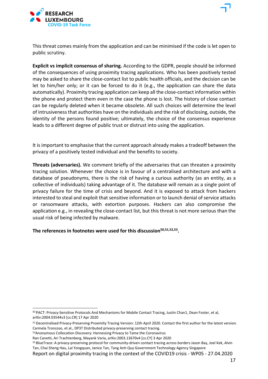

This threat comes mainly from the application and can be minimised if the code is let open to public scrutiny.

**Explicit vs implicit consensus of sharing.** According to the GDPR, people should be informed of the consequences of using proximity tracing applications. Who has been positively tested may be asked to share the close-contact list to public health officials, and the decision can be let to him/her only; or it can be forced to do it (e.g., the application can share the data automatically). Proximity tracing application can keep all the close-contact information within the phone and protect them even in the case the phone is lost. The history of close contact can be regularly deleted when it became obsolete. All such choices will determine the level of intrusivenessthat authorities have on the individuals and the risk of disclosing, outside, the identity of the persons found positive; ultimately, the choice of the consensus experience leads to a different degree of public trust or distrust into using the application.

It is important to emphasise that the current approach already makes a tradeoff between the privacy of a positively tested individual and the benefits to society.

**Threats (adversaries).** We comment briefly of the adversaries that can threaten a proximity tracing solution. Whenever the choice is in favour of a centralised architecture and with a database of pseudonyms, there is the risk of having a curious authority (as an entity, as a collective of individuals) taking advantage of it. The database will remain as a single point of privacy failure for the time of crisis and beyond. And it is exposed to attack from hackers interested to steal and exploit that sensitive information or to launch denial of service attacks or ransomware attacks, with extortion purposes. Hackers can also compromise the application e.g., in revealing the close-contact list, but this threat is not more serious than the usual risk of being infected by malware.

The references in footnotes were used for this discussion<sup>50,51,52,53</sup>.

- 52Anonymous Collocation Discovery: Harnessing Privacy to Tame the Coronavirus
- Ran Canetti, Ari Trachtenberg, Mayank Varia, arXiv:2003.13670v4 [cs.CY] 3 Apr 2020

<sup>50</sup> PACT: Privacy-Sensitive Protocols And Mechanisms for Mobile Contact Tracing, Justin Chan1, Dean Foster, et al, arXiv:2004.03544v3 [cs.CR] 17 Apr 2020

<sup>51</sup> Decentralised Privacy-Preserving Proximity Tracing Version: 12th April 2020. Contact the first author for the latest version. Carmela Troncoso, et al., DP3T Distributed privacy-preserving contact tracing.

<sup>53</sup> BlueTrace: A privacy-preserving protocol for community-driven contact tracing across borders Jason Bay, Joel Kek, Alvin Tan, Chai Sheng Hau, Lai Yongquan, Janice Tan, Tang Anh Quy Government Technology Agency Singapore

Report on digital proximity tracing in the context of the COVID19 crisis - WP05 - 27.04.2020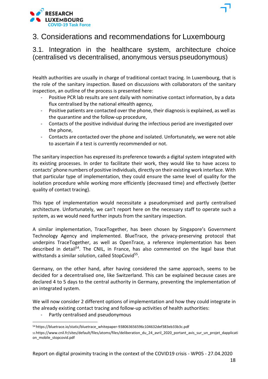

3.1. Integration in the healthcare system, architecture choice (centralised vs decentralised, anonymous versus pseudonymous)

Health authorities are usually in charge of traditional contact tracing. In Luxembourg, that is the role of the sanitary inspection. Based on discussions with collaborators of the sanitary inspection, an outline of the process is presented here:

- Positive PCR lab results are sent daily with nominative contact information, by a data flux centralised by the national eHealth agency,
- Positive patients are contacted over the phone, their diagnosis is explained, as well as the quarantine and the follow-up procedure,
- Contacts of the positive individual during the infectious period are investigated over the phone,
- Contacts are contacted over the phone and isolated. Unfortunately, we were not able to ascertain if a test is currently recommended or not.

The sanitary inspection has expressed its preference towards a digital system integrated with its existing processes. In order to facilitate their work, they would like to have access to contacts' phone numbers of positive individuals, directly on their existing work interface. With that particular type of implementation, they could ensure the same level of quality for the isolation procedure while working more efficiently (decreased time) and effectively (better quality of contact tracing).

This type of implementation would necessitate a pseudonymised and partly centralised architecture. Unfortunately, we can't report here on the necessary staff to operate such a system, as we would need further inputs from the sanitary inspection.

A similar implementation, TraceTogether, has been chosen by Singapore's Government Technology Agency and implemented. BlueTrace, the privacy-preserving protocol that underpins TraceTogether, as well as OpenTrace, a reference implementation has been described in detail<sup>54</sup>. The CNIL, in France, has also commented on the legal base that withstands a similar solution, called StopCovid<sup>55</sup>.

Germany, on the other hand, after having considered the same approach, seems to be decided for a decentralised one, like Switzerland. This can be explained because cases are declared 4 to 5 days to the central authority in Germany, preventing the implementation of an integrated system.

We will now consider 2 different options of implementation and how they could integrate in the already existing contact tracing and follow-up activities of health authorities:

- Partly centralised and pseudonymous

<sup>54</sup> https://bluetrace.io/static/bluetrace\_whitepaper-938063656596c104632def383eb33b3c.pdf <sup>55</sup> https:/[/www.cnil.fr/sites/default/files/atoms/files/deliberation\\_du\\_24\\_avril\\_2020\\_portant\\_avis\\_sur\\_un\\_projet\\_dapplicati](http://www.cnil.fr/sites/default/files/atoms/files/deliberation_du_24_avril_2020_portant_avis_sur_un_projet_dapplicati) on\_mobile\_stopcovid.pdf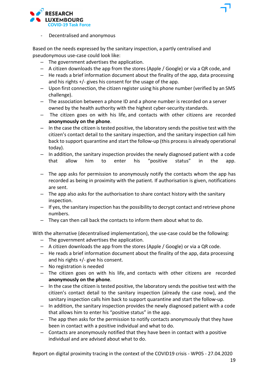

Based on the needs expressed by the sanitary inspection, a partly centralised and pseudonymous use-case could look like:

- The government advertises the application.
- A citizen downloads the app from the stores (Apple / Google) or via a QR code, and
- He reads a brief information document about the finality of the app, data processing and his rights +/- gives his consent for the usage of the app.
- Upon first connection, the citizen register using his phone number (verified by an SMS challenge).
- The association between a phone ID and a phone number is recorded on a server owned by the health authority with the highest cyber-security standards.
- The citizen goes on with his life, and contacts with other citizens are recorded **anonymously on the phone**.
- $-$  In the case the citizen is tested positive, the laboratory sends the positive test with the citizen's contact detail to the sanitary inspection, and the sanitary inspection call him back to support quarantine and start the follow-up (this processis already operational today).
- In addition, the sanitary inspection provides the newly diagnosed patient with a code that allow him to enter his "positive status" in the app.
- The app asks for permission to anonymously notify the contacts whom the app has recorded as being in proximity with the patient. If authorisation is given, notifications are sent.
- The app also asks for the authorisation to share contact history with the sanitary inspection.
- If yes, the sanitary inspection hasthe possibility to decrypt contact and retrieve phone numbers.
- They can then call back the contacts to inform them about what to do.

With the alternative (decentralised implementation), the use-case could be the following:

- The government advertises the application.
- A citizen downloads the app from the stores (Apple / Google) or via a QR code.
- He reads a brief information document about the finality of the app, data processing and his rights +/- give his consent.
- No registration is needed
- The citizen goes on with his life, and contacts with other citizens are recorded **anonymously on the phone**.
- $-$  In the case the citizen is tested positive, the laboratory sends the positive test with the citizen's contact detail to the sanitary inspection (already the case now), and the sanitary inspection calls him back to support quarantine and start the follow-up.
- In addition, the sanitary inspection provides the newly diagnosed patient with a code that allows him to enter his "positive status" in the app.
- The app then asks for the permission to notify contacts anonymously that they have been in contact with a positive individual and what to do.
- Contacts are anonymously notified that they have been in contact with a positive individual and are advised about what to do.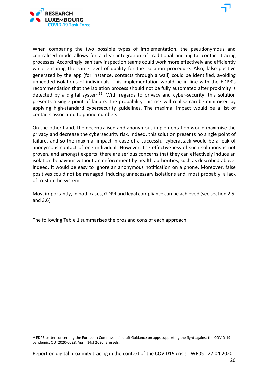

When comparing the two possible types of implementation, the pseudonymous and centralised mode allows for a clear integration of traditional and digital contact tracing processes. Accordingly, sanitary inspection teams could work more effectively and efficiently while ensuring the same level of quality for the isolation procedure. Also, false-positive generated by the app (for instance, contacts through a wall) could be identified, avoiding unneeded isolations of individuals. This implementation would be in line with the EDPB's recommendation that the isolation process should not be fully automated after proximity is detected by a digital system<sup>56</sup>. With regards to privacy and cyber-security, this solution presents a single point of failure. The probability this risk will realise can be minimised by applying high-standard cybersecurity guidelines. The maximal impact would be a list of contacts associated to phone numbers.

On the other hand, the decentralised and anonymous implementation would maximise the privacy and decrease the cybersecurity risk. Indeed, this solution presents no single point of failure, and so the maximal impact in case of a successful cyberattack would be a leak of anonymous contact of one individual. However, the effectiveness of such solutions is not proven, and amongst experts, there are serious concerns that they can effectively induce an isolation behaviour without an enforcement by health authorities, such as described above. Indeed, it would be easy to ignore an anonymous notification on a phone. Moreover, false positives could not be managed, inducing unnecessary isolations and, most probably, a lack of trust in the system.

Most importantly, in both cases, GDPR and legal compliance can be achieved (see section 2.5. and 3.6)

The following Table 1 summarises the pros and cons of each approach:

<sup>&</sup>lt;sup>56</sup> EDPB Letter concerning the European Commission's draft Guidance on apps supporting the fight against the COVID-19 pandemic, OUT2020-0028, April, 14st 2020, Brussels.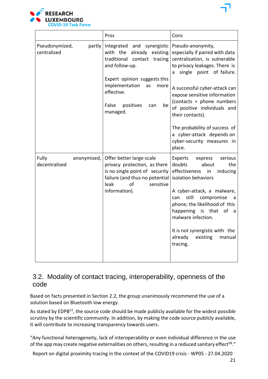

|                                         | Pros                                                                                                                                                                                                                                     | Cons                                                                                                                                                                                                                                                                                                                                                                                                          |
|-----------------------------------------|------------------------------------------------------------------------------------------------------------------------------------------------------------------------------------------------------------------------------------------|---------------------------------------------------------------------------------------------------------------------------------------------------------------------------------------------------------------------------------------------------------------------------------------------------------------------------------------------------------------------------------------------------------------|
| Pseudonymized,<br>partly<br>centralized | Integrated and synergistic<br>with the<br>already existing<br>traditional contact tracing<br>and follow-up.<br>Expert opinion suggests this<br>implementation<br>as<br>more<br>effective.<br>False<br>positives<br>can<br>be<br>managed. | Pseudo-anonymity,<br>especially if paired with data<br>centralization, is vulnerable<br>to privacy leakages. There is<br>single point of failure.<br>a<br>A successful cyber-attack can<br>expose sensitive information<br>(contacts + phone numbers<br>of positive individuals and<br>their contacts).<br>The probability of success of<br>a cyber-attack depends on<br>cyber-security measures in<br>place. |
| Fully<br>anonymised,<br>decentralised   | Offer better large-scale<br>privacy protection, as there<br>is no single point of security<br>failure (and thus no potential<br>of<br>leak<br>sensitive<br>information).                                                                 | Experts<br>express<br>serious<br>doubts<br>about<br>the<br>effectiveness<br>inducing<br>in<br>isolation behaviors<br>A cyber-attack, a malware,<br>still<br>compromise<br>can<br>a<br>phone; the likelihood of this<br>happening is that<br>of<br>a<br>malware infection.<br>It is not synergistic with the<br>already<br>existing<br>manual<br>tracing.                                                      |

### 3.2. Modality of contact tracing, interoperability, openness of the code

Based on facts presented in Section 2.2, the group unanimously recommend the use of a solution based on Bluetooth low energy.

As stated by EDPB<sup>57</sup>, the source code should be made publicly available for the widest possible scrutiny by the scientific community. In addition, by making the code source publicly available, it will contribute to increasing transparency towards users.

"Any functional heterogeneity, lack of interoperability or even individual difference in the use of the app may create negative externalities on others, resulting in a reduced sanitary effect<sup>58</sup>."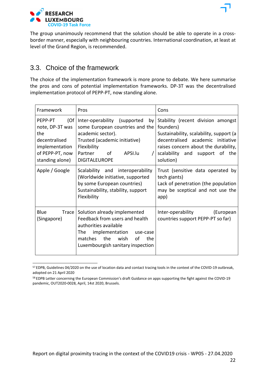

### 3.3. Choice of the framework

The choice of the implementation framework is more prone to debate. We here summarise the pros and cons of potential implementation frameworks. DP-3T was the decentralised implementation protocol of PEPP-PT, now standing alone.

| Framework<br>Pros                                                                                                  |                                                                                                                                                                                                            | Cons                                                                                                                                                                                                                   |
|--------------------------------------------------------------------------------------------------------------------|------------------------------------------------------------------------------------------------------------------------------------------------------------------------------------------------------------|------------------------------------------------------------------------------------------------------------------------------------------------------------------------------------------------------------------------|
| (Of)<br>PEPP-PT<br>note, DP-3T was<br>the<br>decentralised<br>implementation<br>of PEPP-PT, now<br>standing alone) | Inter-operability (supported<br>by<br>some European countries and the<br>academic sector).<br>Trusted (academic initiative)<br>Flexibility<br>Partner<br>of<br>APSI.lu<br><b>DIGITALEUROPE</b>             | Stability (recent division amongst<br>founders)<br>Sustainability, scalability, support (a<br>decentralised academic initiative<br>raises concern about the durability,<br>scalability and support of the<br>solution) |
| Apple / Google                                                                                                     | Scalability and interoperability<br>(Worldwide initiative, supported<br>by some European countries)<br>Sustainability, stability, support<br>Flexibility                                                   | Trust (sensitive data operated by<br>tech giants)<br>Lack of penetration (the population<br>may be sceptical and not use the<br>app)                                                                                   |
| Blue<br>Trace<br>(Singapore)                                                                                       | Solution already implemented<br>Feedback from users and health<br>authorities available<br>implementation<br>The l<br>use-case<br>the<br>wish<br>matches<br>οf<br>the<br>Luxembourgish sanitary inspection | Inter-operability<br>(European<br>countries support PEPP-PT so far)                                                                                                                                                    |

<sup>57</sup> EDPB, Guidelines 04/2020 on the use of location data and contact tracing tools in the context of the COVID-19 outbreak, adopted on 21 April 2020

<sup>&</sup>lt;sup>58</sup> EDPB Letter concerning the European Commission's draft Guidance on apps supporting the fight against the COVID-19 pandemic, OUT2020-0028, April, 14st 2020, Brussels.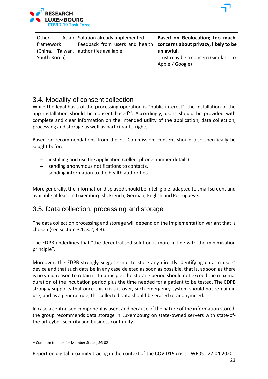

| <b>Other</b> | Asian Solution already implemented    | Based on Geolocation; too much                                        |
|--------------|---------------------------------------|-----------------------------------------------------------------------|
| framework    |                                       | Feedback from users and health   concerns about privacy, likely to be |
|              | (China, Taiwan, authorities available | unlawful.                                                             |
| South-Korea) |                                       | Trust may be a concern (similar to<br>Apple / Google)                 |

### 3.4. Modality of consent collection

While the legal basis of the processing operation is "public interest", the installation of the app installation should be consent based<sup>59</sup>. Accordingly, users should be provided with complete and clear information on the intended utility of the application, data collection, processing and storage as well as participants' rights.

Based on recommendations from the EU Commission, consent should also specifically be sought before:

- installing and use the application (collect phone number details)
- sending anonymous notifications to contacts,
- sending information to the health authorities.

More generally, the information displayed should be intelligible, adapted to small screens and available at least in Luxemburgish, French, German, English and Portuguese.

### 3.5. Data collection, processing and storage

The data collection processing and storage will depend on the implementation variant that is chosen (see section 3.1, 3.2, 3.3).

The EDPB underlines that "the decentralised solution is more in line with the minimisation principle".

Moreover, the EDPB strongly suggests not to store any directly identifying data in users' device and that such data be in any case deleted as soon as possible, that is, as soon as there is no valid reason to retain it. In principle, the storage period should not exceed the maximal duration of the incubation period plus the time needed for a patient to be tested. The EDPB strongly supports that once this crisis is over, such emergency system should not remain in use, and as a general rule, the collected data should be erased or anonymised.

In case a centralised component is used, and because of the nature of the information stored, the group recommends data storage in Luxembourg on state-owned servers with state-ofthe-art cyber-security and business continuity.

<sup>59</sup> Common toolbox for Member States, SG-02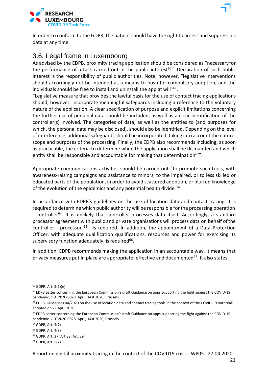

### 3.6. Legal frame in Luxembourg

As advised by the EDPB, proximity tracing application should be considered as "necessaryfor the performance of a task carried out in the public interest<sup>60"</sup>. Declaration of such public interest is the responsibility of public authorities. Note, however, "legislative interventions should accordingly not be intended as a means to push for compulsory adoption, and the individuals should be free to install and uninstall the app at will<sup>61"</sup>.

"Legislative measure that provides the lawful basis for the use of contact tracing applications should, however, incorporate meaningful safeguards including a reference to the voluntary nature of the application. A clear specification of purpose and explicit limitations concerning the further use of personal data should be included, as well as a clear identification of the controller(s) involved. The categories of data, as well as the entities to (and purposes for which, the personal data may be disclosed), should also be identified. Depending on the level of interference, additional safeguards should be incorporated, taking into account the nature, scope and purposes of the processing. Finally, the EDPB also recommends including, as soon as practicable, the criteria to determine when the application shall be dismantled and which entity shall be responsible and accountable for making that determination $62$ ".

Appropriate communications activities should be carried out "to promote such tools, with awareness-raising campaigns and assistance to minors, to the impaired, or to less skilled or educated parts of the population, in order to avoid scattered adoption, or blurred knowledge of the evolution of the epidemics and any potential health divide  $63"$ .

In accordance with EDPB's guidelines on the use of location data and contact tracing, it is required to determine which public authority will be responsible for the processing operation - controller<sup>64</sup>. It is unlikely that controller processes data itself. Accordingly, a standard processor agreement with public and private organisations will process data on behalf ofthe controller - processor  $^{65}$  - is required. In addition, the appointment of a Data Protection Officer, with adequate qualification qualifications, resources and power for exercising its supervisory function adequately, is required $66$ .

In addition, EDPB recommends making the application in an accountable way. It means that privacy measures put in place are appropriate, effective and documented $67$ . It also states

<sup>60</sup> GDPR. Art. 5(1)(e)

<sup>61</sup> EDPB Letter concerning the European Commission's draft Guidance on apps supporting the fight against the COVID-19 pandemic, OUT2020-0028, April, 14st 2020, Brussels.

<sup>62</sup> EDPB, Guidelines 04/2020 on the use of location data and contact tracing tools in the context of the COVID-19 outbreak, adopted on 21 April 2020.

<sup>&</sup>lt;sup>63</sup> EDPB Letter concerning the European Commission's draft Guidance on apps supporting the fight against the COVID-19 pandemic, OUT2020-0028, April, 14st 2020, Brussels.

<sup>64</sup> GDPR, Art. 4(7)

<sup>65</sup> GDPR, Art. 4(8)

<sup>66</sup> GDPR, Art. 37; Art.38; Art. 39

<sup>67</sup> GDPR, Art. 5(2)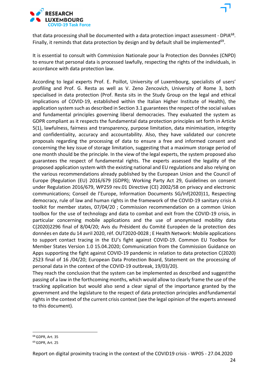

that data processing shall be documented with a data protection impact assessment - DPIA<sup>68</sup>. Finally, it reminds that data protection by design and by default shall be implemented<sup>69</sup>.

It is essential to consult with Commission Nationale pour la Protection des Données (CNPD) to ensure that personal data is processed lawfully, respecting the rights of the individuals, in accordance with data protection law.

According to legal experts Prof. E. Poillot, University of Luxembourg, specialists of users' profiling and Prof. G. Resta as well as V. Zeno Zencovich, University of Rome 3, both specialised in data protection (Prof. Resta sits in the Study Group on the legal and ethical implications of COVID-19, established within the Italian Higher Institute of Health), the application system such as described in Section 3.1 guarantees the respect of the social values and fundamental principles governing liberal democracies. They evaluated the system as GDPR compliant as it respects the fundamental data protection principles set forth in Article 5(1), lawfulness, fairness and transparency, purpose limitation, data minimisation, integrity and confidentiality, accuracy and accountability. Also, they have validated our concrete proposals regarding the processing of data to ensure a free and informed consent and concerning the key issue of storage limitation, suggesting that a maximum storage period of one month should be the principle. In the view of the legal experts, the system proposed also guarantees the respect of fundamental rights. The experts assessed the legality of the proposed application system with the existing national and EU regulations and also relying on the various recommendations already published by the European Union and the Council of Europe (Regulation (EU) 2016/679 (GDPR); Working Party Act 29, Guidelines on consent under Regulation 2016/679, WP259 rev.01 Directive (CE) 2002/58 on privacy and electronic communications; Conseil de l'Europe, Information Documents SG/Inf(2020)11, Respecting democracy, rule of law and human rights in the framework of the COVID-19 sanitary crisis A toolkit for member states, 07/04/20 ; Commission recommendation on a common Union toolbox for the use of technology and data to combat and exit from the COVID-19 crisis, in particular concerning mobile applications and the use of anonymised mobility data C(2020)2296 final of 8/04/20; Avis du Président du Comité Européen de la protection des données en date du 14 avril 2020, réf. OUT2020-0028 ; E Health Network: Mobile applications to support contact tracing in the EU's fight against COVID-19. Common EU Toolbox for Member States Version 1.0 15.04.2020; Communication from the Commission Guidance on Apps supporting the fight against COVID-19 pandemic in relation to data protection C(2020) 2523 final of 16 /04/20; European Data Protection Board, Statement on the processing of personal data in the context of the COVID-19 outbreak, 19/03/20).

They reach the conclusion that the system can be implemented as described and suggestthe passing of a law in the forthcoming months, which would allow to clearly frame the use of the tracking application but would also send a clear signal of the importance granted by the government and the legislature to the respect of data protection principles andfundamental rights in the context of the current crisis context (see the legal opinion of the experts annexed to this document).

<sup>68</sup> GDPR, Art. 35

<sup>69</sup> GDPR, Art. 25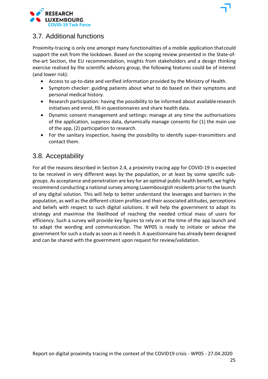

### 3.7. Additional functions

Proximity-tracing is only one amongst many functionalities of a mobile application thatcould support the exit from the lockdown. Based on the scoping review presented in the State-ofthe-art Section, the EU recommendation, insights from stakeholders and a design thinking exercise realised by the scientific advisory group, the following features could be of interest (and lower risk):

- Access to up-to-date and verified information provided by the Ministry of Health.
- Symptom checker: guiding patients about what to do based on their symptoms and personal medical history.
- Research participation: having the possibility to be informed about availableresearch initiatives and enrol, fill-in questionnaires and share health data.
- Dynamic consent management and settings: manage at any time the authorisations of the application, suppress data, dynamically manage consents for (1) the main use of the app, (2) participation to research.
- For the sanitary inspection, having the possibility to identify super-transmitters and contact them.

### 3.8. Acceptability

For all the reasons described in Section 2.4, a proximity tracing app for COVID-19 is expected to be received in very different ways by the population, or at least by some specific subgroups. As acceptance and penetration are key for an optimal public health benefit, we highly recommend conducting a national survey among Luxembourgish residents prior to the launch of any digital solution. This will help to better understand the leverages and barriers in the population, as well as the different citizen profiles and their associated attitudes, perceptions and beliefs with respect to such digital solutions. It will help the government to adapt its strategy and maximise the likelihood of reaching the needed critical mass of users for efficiency. Such a survey will provide key figures to rely on at the time of the app launch and to adapt the wording and communication. The WP05 is ready to initiate or advise the government for such a study as soon as it needs it. A questionnaire has already been designed and can be shared with the government upon request for review/validation.